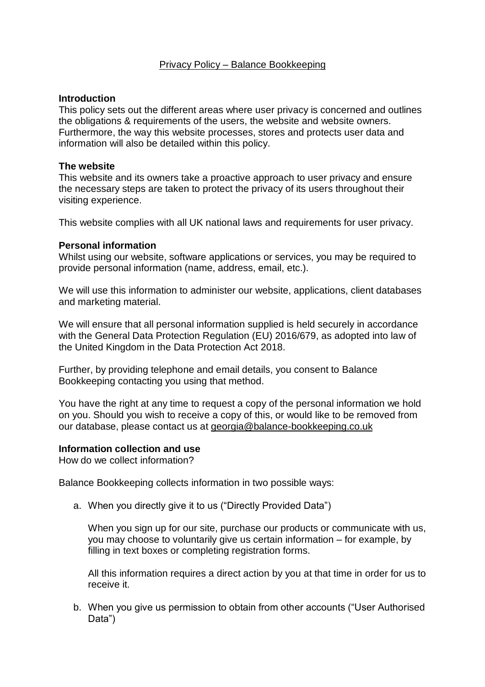# Privacy Policy – Balance Bookkeeping

## **Introduction**

This policy sets out the different areas where user privacy is concerned and outlines the obligations & requirements of the users, the website and website owners. Furthermore, the way this website processes, stores and protects user data and information will also be detailed within this policy.

## **The website**

This website and its owners take a proactive approach to user privacy and ensure the necessary steps are taken to protect the privacy of its users throughout their visiting experience.

This website complies with all UK national laws and requirements for user privacy.

## **Personal information**

Whilst using our website, software applications or services, you may be required to provide personal information (name, address, email, etc.).

We will use this information to administer our website, applications, client databases and marketing material.

We will ensure that all personal information supplied is held securely in accordance with the General Data Protection Regulation (EU) 2016/679, as adopted into law of the United Kingdom in the Data Protection Act 2018.

Further, by providing telephone and email details, you consent to Balance Bookkeeping contacting you using that method.

You have the right at any time to request a copy of the personal information we hold on you. Should you wish to receive a copy of this, or would like to be removed from our database, please contact us at georgia@balance-bookkeeping.co.uk

### **Information collection and use**

How do we collect information?

Balance Bookkeeping collects information in two possible ways:

a. When you directly give it to us ("Directly Provided Data")

When you sign up for our site, purchase our products or communicate with us, you may choose to voluntarily give us certain information – for example, by filling in text boxes or completing registration forms.

All this information requires a direct action by you at that time in order for us to receive it.

b. When you give us permission to obtain from other accounts ("User Authorised Data")